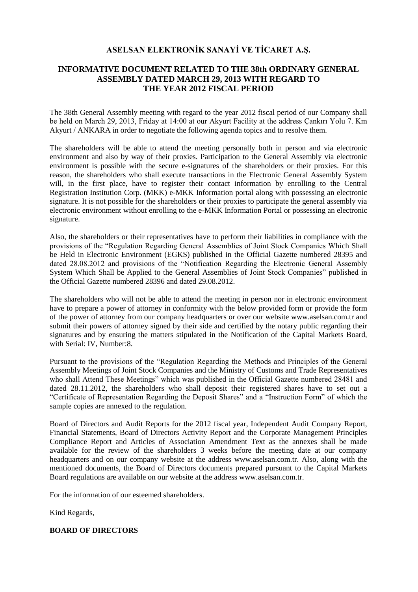## **ASELSAN ELEKTRONİK SANAYİ VE TİCARET A.Ş.**

## **INFORMATIVE DOCUMENT RELATED TO THE 38th ORDINARY GENERAL ASSEMBLY DATED MARCH 29, 2013 WITH REGARD TO THE YEAR 2012 FISCAL PERIOD**

The 38th General Assembly meeting with regard to the year 2012 fiscal period of our Company shall be held on March 29, 2013, Friday at 14:00 at our Akyurt Facility at the address Çankırı Yolu 7. Km Akyurt / ANKARA in order to negotiate the following agenda topics and to resolve them.

The shareholders will be able to attend the meeting personally both in person and via electronic environment and also by way of their proxies. Participation to the General Assembly via electronic environment is possible with the secure e-signatures of the shareholders or their proxies. For this reason, the shareholders who shall execute transactions in the Electronic General Assembly System will, in the first place, have to register their contact information by enrolling to the Central Registration Institution Corp. (MKK) e-MKK Information portal along with possessing an electronic signature. It is not possible for the shareholders or their proxies to participate the general assembly via electronic environment without enrolling to the e-MKK Information Portal or possessing an electronic signature.

Also, the shareholders or their representatives have to perform their liabilities in compliance with the provisions of the "Regulation Regarding General Assemblies of Joint Stock Companies Which Shall be Held in Electronic Environment (EGKS) published in the Official Gazette numbered 28395 and dated 28.08.2012 and provisions of the "Notification Regarding the Electronic General Assembly System Which Shall be Applied to the General Assemblies of Joint Stock Companies" published in the Official Gazette numbered 28396 and dated 29.08.2012.

The shareholders who will not be able to attend the meeting in person nor in electronic environment have to prepare a power of attorney in conformity with the below provided form or provide the form of the power of attorney from our company headquarters or over our website www.aselsan.com.tr and submit their powers of attorney signed by their side and certified by the notary public regarding their signatures and by ensuring the matters stipulated in the Notification of the Capital Markets Board, with Serial: IV, Number:8.

Pursuant to the provisions of the "Regulation Regarding the Methods and Principles of the General Assembly Meetings of Joint Stock Companies and the Ministry of Customs and Trade Representatives who shall Attend These Meetings" which was published in the Official Gazette numbered 28481 and dated 28.11.2012, the shareholders who shall deposit their registered shares have to set out a "Certificate of Representation Regarding the Deposit Shares" and a "Instruction Form" of which the sample copies are annexed to the regulation.

Board of Directors and Audit Reports for the 2012 fiscal year, Independent Audit Company Report, Financial Statements, Board of Directors Activity Report and the Corporate Management Principles Compliance Report and Articles of Association Amendment Text as the annexes shall be made available for the review of the shareholders 3 weeks before the meeting date at our company headquarters and on our company website at the address www.aselsan.com.tr. Also, along with the mentioned documents, the Board of Directors documents prepared pursuant to the Capital Markets Board regulations are available on our website at the address www.aselsan.com.tr.

For the information of our esteemed shareholders.

Kind Regards,

## **BOARD OF DIRECTORS**